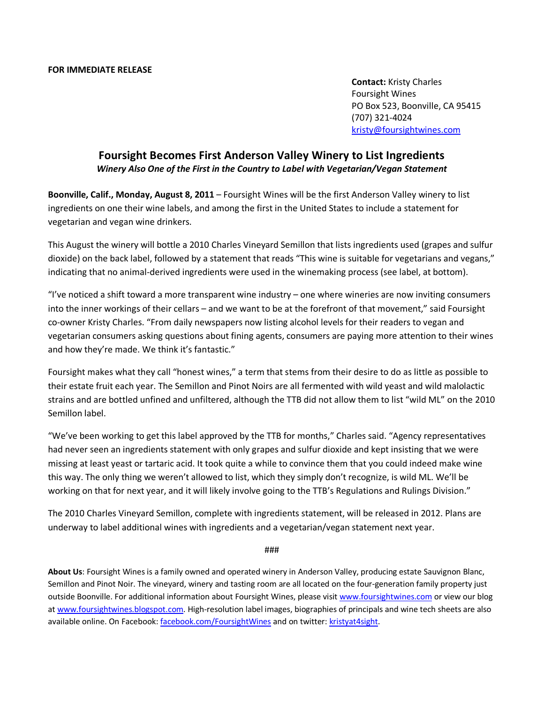Contact: Kristy Charles Foursight Wines PO Box 523, Boonville, CA 95415 (707) 321-4024 kristy@foursightwines.com

## Foursight Becomes First Anderson Valley Winery to List Ingredients Winery Also One of the First in the Country to Label with Vegetarian/Vegan Statement

Boonville, Calif., Monday, August 8, 2011 – Foursight Wines will be the first Anderson Valley winery to list ingredients on one their wine labels, and among the first in the United States to include a statement for vegetarian and vegan wine drinkers.

This August the winery will bottle a 2010 Charles Vineyard Semillon that lists ingredients used (grapes and sulfur dioxide) on the back label, followed by a statement that reads "This wine is suitable for vegetarians and vegans," indicating that no animal-derived ingredients were used in the winemaking process (see label, at bottom).

"I've noticed a shift toward a more transparent wine industry – one where wineries are now inviting consumers into the inner workings of their cellars – and we want to be at the forefront of that movement," said Foursight co-owner Kristy Charles. "From daily newspapers now listing alcohol levels for their readers to vegan and vegetarian consumers asking questions about fining agents, consumers are paying more attention to their wines and how they're made. We think it's fantastic."

Foursight makes what they call "honest wines," a term that stems from their desire to do as little as possible to their estate fruit each year. The Semillon and Pinot Noirs are all fermented with wild yeast and wild malolactic strains and are bottled unfined and unfiltered, although the TTB did not allow them to list "wild ML" on the 2010 Semillon label.

"We've been working to get this label approved by the TTB for months," Charles said. "Agency representatives had never seen an ingredients statement with only grapes and sulfur dioxide and kept insisting that we were missing at least yeast or tartaric acid. It took quite a while to convince them that you could indeed make wine this way. The only thing we weren't allowed to list, which they simply don't recognize, is wild ML. We'll be working on that for next year, and it will likely involve going to the TTB's Regulations and Rulings Division."

The 2010 Charles Vineyard Semillon, complete with ingredients statement, will be released in 2012. Plans are underway to label additional wines with ingredients and a vegetarian/vegan statement next year.

###

About Us: Foursight Wines is a family owned and operated winery in Anderson Valley, producing estate Sauvignon Blanc, Semillon and Pinot Noir. The vineyard, winery and tasting room are all located on the four-generation family property just outside Boonville. For additional information about Foursight Wines, please visit www.foursightwines.com or view our blog at www.foursightwines.blogspot.com. High-resolution label images, biographies of principals and wine tech sheets are also available online. On Facebook: facebook.com/FoursightWines and on twitter: kristyat4sight.